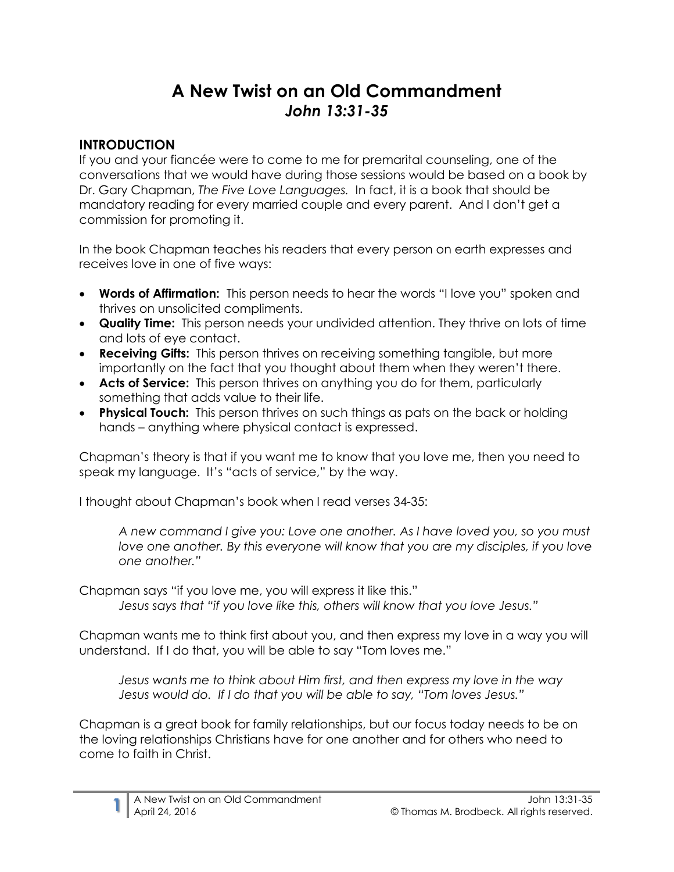# **A New Twist on an Old Commandment** *John 13:31-35*

### **INTRODUCTION**

If you and your fiancée were to come to me for premarital counseling, one of the conversations that we would have during those sessions would be based on a book by Dr. Gary Chapman, *The Five Love Languages.* In fact, it is a book that should be mandatory reading for every married couple and every parent. And I don't get a commission for promoting it.

In the book Chapman teaches his readers that every person on earth expresses and receives love in one of five ways:

- **Words of Affirmation:** This person needs to hear the words "I love you" spoken and thrives on unsolicited compliments.
- **Quality Time:** This person needs your undivided attention. They thrive on lots of time and lots of eye contact.
- **Receiving Gifts:** This person thrives on receiving something tangible, but more importantly on the fact that you thought about them when they weren't there.
- **Acts of Service:** This person thrives on anything you do for them, particularly something that adds value to their life.
- **Physical Touch:** This person thrives on such things as pats on the back or holding hands – anything where physical contact is expressed.

Chapman's theory is that if you want me to know that you love me, then you need to speak my language. It's "acts of service," by the way.

I thought about Chapman's book when I read verses 34-35:

*A new command I give you: Love one another. As I have loved you, so you must love one another. By this everyone will know that you are my disciples, if you love one another."*

Chapman says "if you love me, you will express it like this." *Jesus says that "if you love like this, others will know that you love Jesus."* 

Chapman wants me to think first about you, and then express my love in a way you will understand. If I do that, you will be able to say "Tom loves me."

*Jesus wants me to think about Him first, and then express my love in the way Jesus would do. If I do that you will be able to say, "Tom loves Jesus."*

Chapman is a great book for family relationships, but our focus today needs to be on the loving relationships Christians have for one another and for others who need to come to faith in Christ.

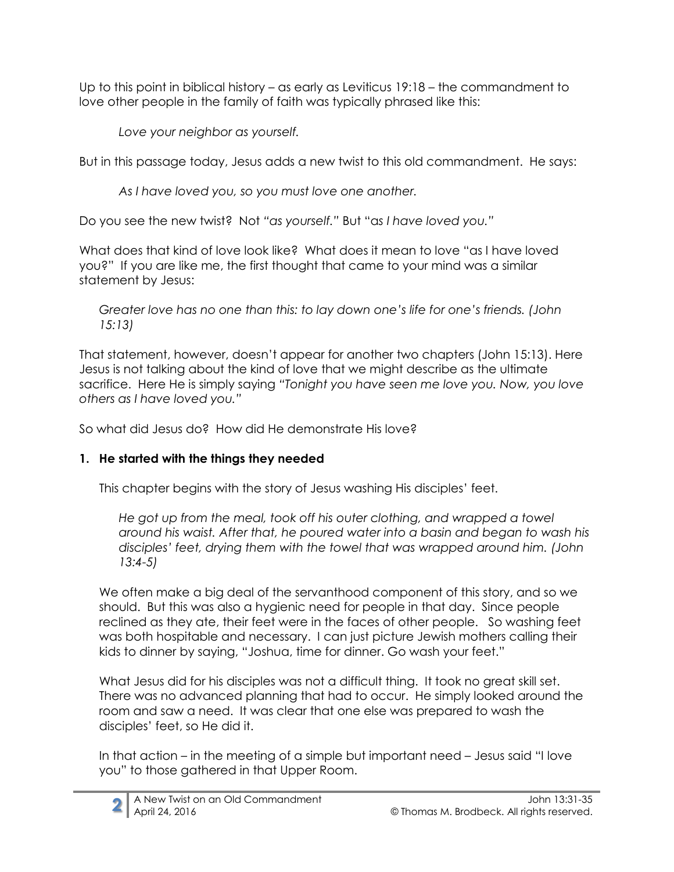Up to this point in biblical history – as early as Leviticus 19:18 – the commandment to love other people in the family of faith was typically phrased like this:

*Love your neighbor as yourself.*

But in this passage today, Jesus adds a new twist to this old commandment. He says:

*As I have loved you, so you must love one another.*

Do you see the new twist? Not *"as yourself."* But "a*s I have loved you."*

What does that kind of love look like? What does it mean to love "as I have loved you?" If you are like me, the first thought that came to your mind was a similar statement by Jesus:

*Greater love has no one than this: to lay down one's life for one's friends. (John 15:13)*

That statement, however, doesn't appear for another two chapters (John 15:13). Here Jesus is not talking about the kind of love that we might describe as the ultimate sacrifice. Here He is simply saying *"Tonight you have seen me love you. Now, you love others as I have loved you."*

So what did Jesus do? How did He demonstrate His love?

## **1. He started with the things they needed**

This chapter begins with the story of Jesus washing His disciples' feet.

*He got up from the meal, took off his outer clothing, and wrapped a towel around his waist. After that, he poured water into a basin and began to wash his disciples' feet, drying them with the towel that was wrapped around him. (John 13:4-5)*

We often make a big deal of the servanthood component of this story, and so we should. But this was also a hygienic need for people in that day. Since people reclined as they ate, their feet were in the faces of other people. So washing feet was both hospitable and necessary. I can just picture Jewish mothers calling their kids to dinner by saying, "Joshua, time for dinner. Go wash your feet."

What Jesus did for his disciples was not a difficult thing. It took no great skill set. There was no advanced planning that had to occur. He simply looked around the room and saw a need. It was clear that one else was prepared to wash the disciples' feet, so He did it.

In that action – in the meeting of a simple but important need – Jesus said "I love you" to those gathered in that Upper Room.

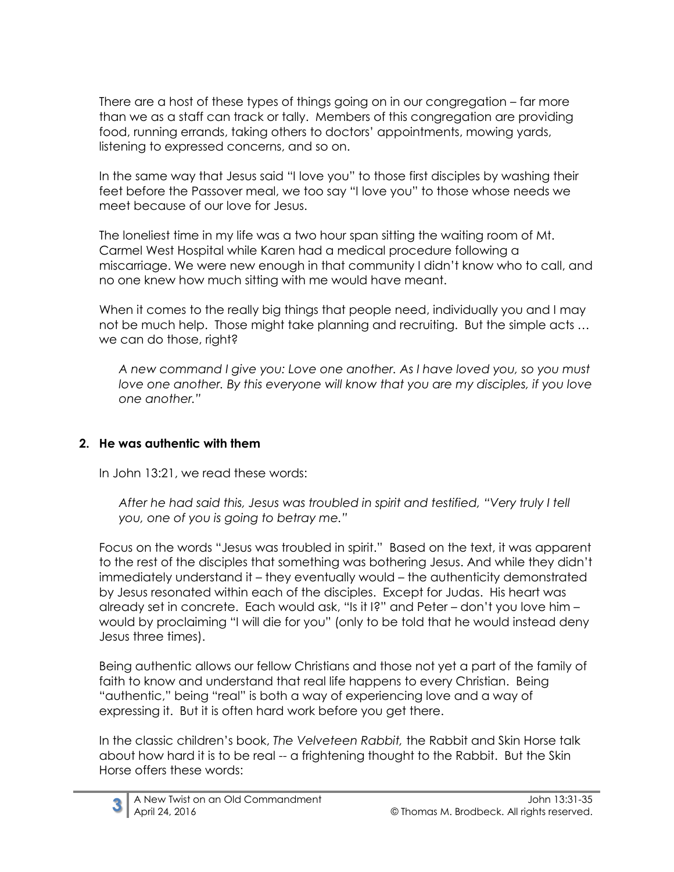There are a host of these types of things going on in our congregation – far more than we as a staff can track or tally. Members of this congregation are providing food, running errands, taking others to doctors' appointments, mowing yards, listening to expressed concerns, and so on.

In the same way that Jesus said "I love you" to those first disciples by washing their feet before the Passover meal, we too say "I love you" to those whose needs we meet because of our love for Jesus.

The loneliest time in my life was a two hour span sitting the waiting room of Mt. Carmel West Hospital while Karen had a medical procedure following a miscarriage. We were new enough in that community I didn't know who to call, and no one knew how much sitting with me would have meant.

When it comes to the really big things that people need, individually you and I may not be much help. Those might take planning and recruiting. But the simple acts … we can do those, right?

*A new command I give you: Love one another. As I have loved you, so you must love one another. By this everyone will know that you are my disciples, if you love one another."*

#### **2. He was authentic with them**

In John 13:21, we read these words:

*After he had said this, Jesus was troubled in spirit and testified, "Very truly I tell you, one of you is going to betray me."*

Focus on the words "Jesus was troubled in spirit." Based on the text, it was apparent to the rest of the disciples that something was bothering Jesus. And while they didn't immediately understand it – they eventually would – the authenticity demonstrated by Jesus resonated within each of the disciples. Except for Judas. His heart was already set in concrete. Each would ask, "Is it I?" and Peter – don't you love him – would by proclaiming "I will die for you" (only to be told that he would instead deny Jesus three times).

Being authentic allows our fellow Christians and those not yet a part of the family of faith to know and understand that real life happens to every Christian. Being "authentic," being "real" is both a way of experiencing love and a way of expressing it. But it is often hard work before you get there.

In the classic children's book, *The Velveteen Rabbit,* the Rabbit and Skin Horse talk about how hard it is to be real -- a frightening thought to the Rabbit. But the Skin Horse offers these words:

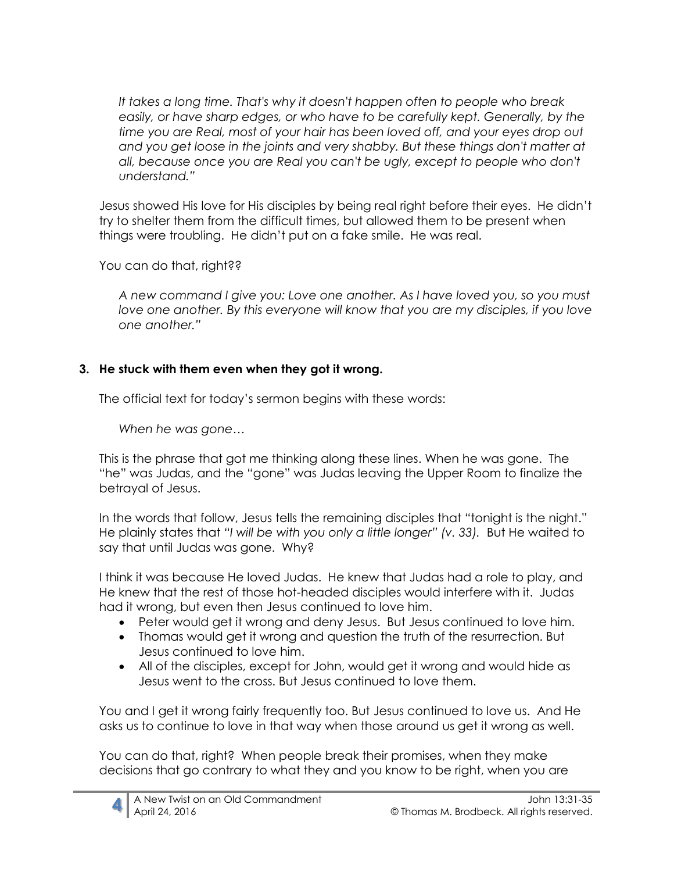*It takes a long time. That's why it doesn't happen often to people who break easily, or have sharp edges, or who have to be carefully kept. Generally, by the time you are Real, most of your hair has been loved off, and your eyes drop out and you get loose in the joints and very shabby. But these things don't matter at all, because once you are Real you can't be ugly, except to people who don't understand."* 

Jesus showed His love for His disciples by being real right before their eyes. He didn't try to shelter them from the difficult times, but allowed them to be present when things were troubling. He didn't put on a fake smile. He was real.

You can do that, right??

*A new command I give you: Love one another. As I have loved you, so you must love one another. By this everyone will know that you are my disciples, if you love one another."*

#### **3. He stuck with them even when they got it wrong.**

The official text for today's sermon begins with these words:

*When he was gone…*

This is the phrase that got me thinking along these lines. When he was gone. The "he" was Judas, and the "gone" was Judas leaving the Upper Room to finalize the betrayal of Jesus.

In the words that follow, Jesus tells the remaining disciples that "tonight is the night." He plainly states that *"I will be with you only a little longer" (v. 33).* But He waited to say that until Judas was gone. Why?

I think it was because He loved Judas. He knew that Judas had a role to play, and He knew that the rest of those hot-headed disciples would interfere with it. Judas had it wrong, but even then Jesus continued to love him.

- Peter would get it wrong and deny Jesus. But Jesus continued to love him.
- Thomas would get it wrong and question the truth of the resurrection. But Jesus continued to love him.
- All of the disciples, except for John, would get it wrong and would hide as Jesus went to the cross. But Jesus continued to love them.

You and I get it wrong fairly frequently too. But Jesus continued to love us. And He asks us to continue to love in that way when those around us get it wrong as well.

You can do that, right? When people break their promises, when they make decisions that go contrary to what they and you know to be right, when you are